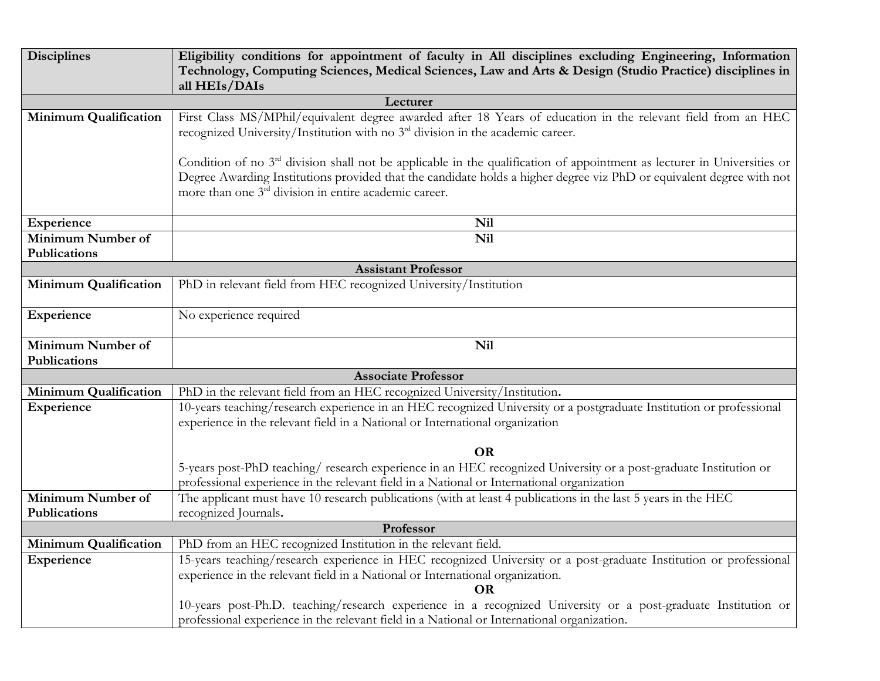| <b>Disciplines</b>                        | Eligibility conditions for appointment of faculty in All disciplines excluding Engineering, Information<br>Technology, Computing Sciences, Medical Sciences, Law and Arts & Design (Studio Practice) disciplines in |
|-------------------------------------------|---------------------------------------------------------------------------------------------------------------------------------------------------------------------------------------------------------------------|
|                                           | all HEIs/DAIs                                                                                                                                                                                                       |
| Lecturer                                  |                                                                                                                                                                                                                     |
| <b>Minimum Qualification</b>              | First Class MS/MPhil/equivalent degree awarded after 18 Years of education in the relevant field from an HEC<br>recognized University/Institution with no 3 <sup>rd</sup> division in the academic career.          |
|                                           | Condition of no 3 <sup>rd</sup> division shall not be applicable in the qualification of appointment as lecturer in Universities or                                                                                 |
|                                           | Degree Awarding Institutions provided that the candidate holds a higher degree viz PhD or equivalent degree with not<br>more than one 3 <sup>rd</sup> division in entire academic career.                           |
| Experience                                | <b>Nil</b>                                                                                                                                                                                                          |
| <b>Minimum Number of</b>                  | Nil                                                                                                                                                                                                                 |
| Publications                              |                                                                                                                                                                                                                     |
| <b>Assistant Professor</b>                |                                                                                                                                                                                                                     |
| <b>Minimum Qualification</b>              | PhD in relevant field from HEC recognized University/Institution                                                                                                                                                    |
| Experience                                | No experience required                                                                                                                                                                                              |
| <b>Minimum Number of</b>                  | Nil                                                                                                                                                                                                                 |
| Publications                              |                                                                                                                                                                                                                     |
| <b>Associate Professor</b>                |                                                                                                                                                                                                                     |
| <b>Minimum Qualification</b>              | PhD in the relevant field from an HEC recognized University/Institution.                                                                                                                                            |
| Experience                                | 10-years teaching/research experience in an HEC recognized University or a postgraduate Institution or professional                                                                                                 |
|                                           | experience in the relevant field in a National or International organization                                                                                                                                        |
|                                           |                                                                                                                                                                                                                     |
|                                           | <b>OR</b>                                                                                                                                                                                                           |
|                                           | 5-years post-PhD teaching/research experience in an HEC recognized University or a post-graduate Institution or                                                                                                     |
| Minimum Number of                         | professional experience in the relevant field in a National or International organization                                                                                                                           |
|                                           | The applicant must have 10 research publications (with at least 4 publications in the last 5 years in the HEC                                                                                                       |
| Publications<br>recognized Journals.      |                                                                                                                                                                                                                     |
| Professor<br><b>Minimum Qualification</b> |                                                                                                                                                                                                                     |
| Experience                                | PhD from an HEC recognized Institution in the relevant field.<br>15-years teaching/research experience in HEC recognized University or a post-graduate Institution or professional                                  |
|                                           | experience in the relevant field in a National or International organization.                                                                                                                                       |
|                                           | <b>OR</b><br>10-years post-Ph.D. teaching/research experience in a recognized University or a post-graduate Institution or                                                                                          |
|                                           | professional experience in the relevant field in a National or International organization.                                                                                                                          |